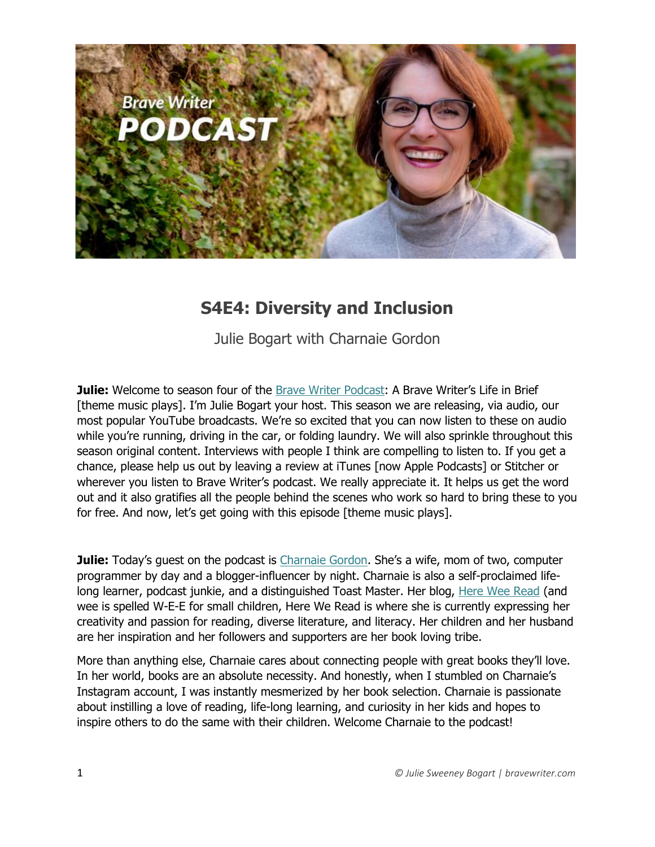

## **S4E4: Diversity and Inclusion**

Julie Bogart with Charnaie Gordon

**Julie:** Welcome to season four of the [Brave Writer Podcast](http://blog.bravewriter.com/category/podcasts/): A Brave Writer's Life in Brief [theme music plays]. I'm Julie Bogart your host. This season we are releasing, via audio, our most popular YouTube broadcasts. We're so excited that you can now listen to these on audio while you're running, driving in the car, or folding laundry. We will also sprinkle throughout this season original content. Interviews with people I think are compelling to listen to. If you get a chance, please help us out by leaving a review at iTunes [now Apple Podcasts] or Stitcher or wherever you listen to Brave Writer's podcast. We really appreciate it. It helps us get the word out and it also gratifies all the people behind the scenes who work so hard to bring these to you for free. And now, let's get going with this episode [theme music plays].

**Julie:** Today's guest on the podcast is [Charnaie Gordon](http://hereweeread.com/). She's a wife, mom of two, computer programmer by day and a blogger-influencer by night. Charnaie is also a self-proclaimed lifelong learner, podcast junkie, and a distinguished Toast Master. Her blog, [Here Wee Read](http://hereweeread.com/) (and wee is spelled W-E-E for small children, Here We Read is where she is currently expressing her creativity and passion for reading, diverse literature, and literacy. Her children and her husband are her inspiration and her followers and supporters are her book loving tribe.

More than anything else, Charnaie cares about connecting people with great books they'll love. In her world, books are an absolute necessity. And honestly, when I stumbled on Charnaie's Instagram account, I was instantly mesmerized by her book selection. Charnaie is passionate about instilling a love of reading, life-long learning, and curiosity in her kids and hopes to inspire others to do the same with their children. Welcome Charnaie to the podcast!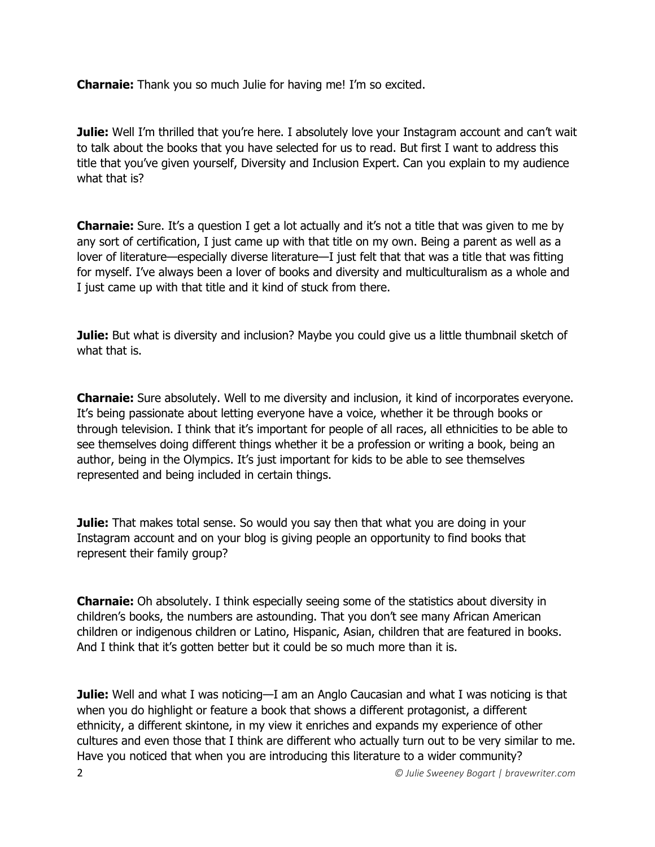**Charnaie:** Thank you so much Julie for having me! I'm so excited.

**Julie:** Well I'm thrilled that you're here. I absolutely love your Instagram account and can't wait to talk about the books that you have selected for us to read. But first I want to address this title that you've given yourself, Diversity and Inclusion Expert. Can you explain to my audience what that is?

**Charnaie:** Sure. It's a question I get a lot actually and it's not a title that was given to me by any sort of certification, I just came up with that title on my own. Being a parent as well as a lover of literature—especially diverse literature—I just felt that that was a title that was fitting for myself. I've always been a lover of books and diversity and multiculturalism as a whole and I just came up with that title and it kind of stuck from there.

**Julie:** But what is diversity and inclusion? Maybe you could give us a little thumbnail sketch of what that is.

**Charnaie:** Sure absolutely. Well to me diversity and inclusion, it kind of incorporates everyone. It's being passionate about letting everyone have a voice, whether it be through books or through television. I think that it's important for people of all races, all ethnicities to be able to see themselves doing different things whether it be a profession or writing a book, being an author, being in the Olympics. It's just important for kids to be able to see themselves represented and being included in certain things.

**Julie:** That makes total sense. So would you say then that what you are doing in your Instagram account and on your blog is giving people an opportunity to find books that represent their family group?

**Charnaie:** Oh absolutely. I think especially seeing some of the statistics about diversity in children's books, the numbers are astounding. That you don't see many African American children or indigenous children or Latino, Hispanic, Asian, children that are featured in books. And I think that it's gotten better but it could be so much more than it is.

2 *© Julie Sweeney Bogart | bravewriter.com* **Julie:** Well and what I was noticing—I am an Anglo Caucasian and what I was noticing is that when you do highlight or feature a book that shows a different protagonist, a different ethnicity, a different skintone, in my view it enriches and expands my experience of other cultures and even those that I think are different who actually turn out to be very similar to me. Have you noticed that when you are introducing this literature to a wider community?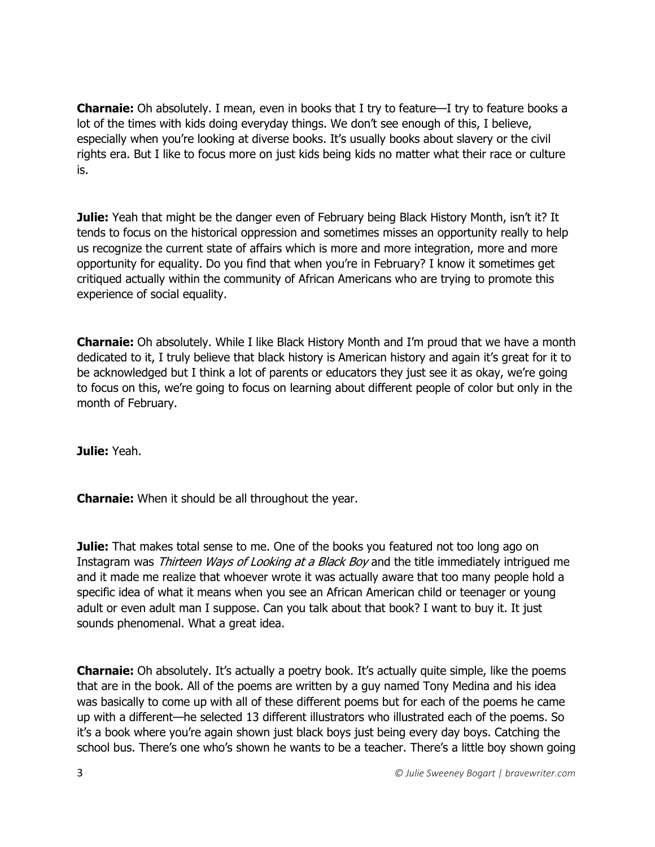**Charnaie:** Oh absolutely. I mean, even in books that I try to feature—I try to feature books a lot of the times with kids doing everyday things. We don't see enough of this, I believe, especially when you're looking at diverse books. It's usually books about slavery or the civil rights era. But I like to focus more on just kids being kids no matter what their race or culture is.

**Julie:** Yeah that might be the danger even of February being Black History Month, isn't it? It tends to focus on the historical oppression and sometimes misses an opportunity really to help us recognize the current state of affairs which is more and more integration, more and more opportunity for equality. Do you find that when you're in February? I know it sometimes get critiqued actually within the community of African Americans who are trying to promote this experience of social equality.

**Charnaie:** Oh absolutely. While I like Black History Month and I'm proud that we have a month dedicated to it, I truly believe that black history is American history and again it's great for it to be acknowledged but I think a lot of parents or educators they just see it as okay, we're going to focus on this, we're going to focus on learning about different people of color but only in the month of February.

**Julie:** Yeah.

**Charnaie:** When it should be all throughout the year.

**Julie:** That makes total sense to me. One of the books you featured not too long ago on Instagram was Thirteen Ways of Looking at a Black Boy and the title immediately intrigued me and it made me realize that whoever wrote it was actually aware that too many people hold a specific idea of what it means when you see an African American child or teenager or young adult or even adult man I suppose. Can you talk about that book? I want to buy it. It just sounds phenomenal. What a great idea.

**Charnaie:** Oh absolutely. It's actually a poetry book. It's actually quite simple, like the poems that are in the book. All of the poems are written by a guy named Tony Medina and his idea was basically to come up with all of these different poems but for each of the poems he came up with a different—he selected 13 different illustrators who illustrated each of the poems. So it's a book where you're again shown just black boys just being every day boys. Catching the school bus. There's one who's shown he wants to be a teacher. There's a little boy shown going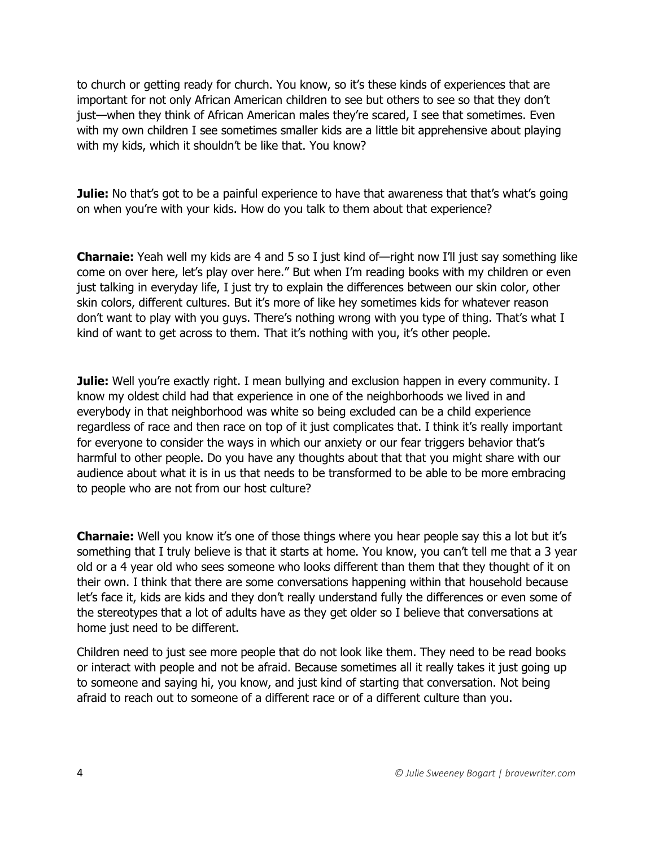to church or getting ready for church. You know, so it's these kinds of experiences that are important for not only African American children to see but others to see so that they don't just—when they think of African American males they're scared, I see that sometimes. Even with my own children I see sometimes smaller kids are a little bit apprehensive about playing with my kids, which it shouldn't be like that. You know?

**Julie:** No that's got to be a painful experience to have that awareness that that's what's going on when you're with your kids. How do you talk to them about that experience?

**Charnaie:** Yeah well my kids are 4 and 5 so I just kind of—right now I'll just say something like come on over here, let's play over here." But when I'm reading books with my children or even just talking in everyday life, I just try to explain the differences between our skin color, other skin colors, different cultures. But it's more of like hey sometimes kids for whatever reason don't want to play with you guys. There's nothing wrong with you type of thing. That's what I kind of want to get across to them. That it's nothing with you, it's other people.

**Julie:** Well you're exactly right. I mean bullying and exclusion happen in every community. I know my oldest child had that experience in one of the neighborhoods we lived in and everybody in that neighborhood was white so being excluded can be a child experience regardless of race and then race on top of it just complicates that. I think it's really important for everyone to consider the ways in which our anxiety or our fear triggers behavior that's harmful to other people. Do you have any thoughts about that that you might share with our audience about what it is in us that needs to be transformed to be able to be more embracing to people who are not from our host culture?

**Charnaie:** Well you know it's one of those things where you hear people say this a lot but it's something that I truly believe is that it starts at home. You know, you can't tell me that a 3 year old or a 4 year old who sees someone who looks different than them that they thought of it on their own. I think that there are some conversations happening within that household because let's face it, kids are kids and they don't really understand fully the differences or even some of the stereotypes that a lot of adults have as they get older so I believe that conversations at home just need to be different.

Children need to just see more people that do not look like them. They need to be read books or interact with people and not be afraid. Because sometimes all it really takes it just going up to someone and saying hi, you know, and just kind of starting that conversation. Not being afraid to reach out to someone of a different race or of a different culture than you.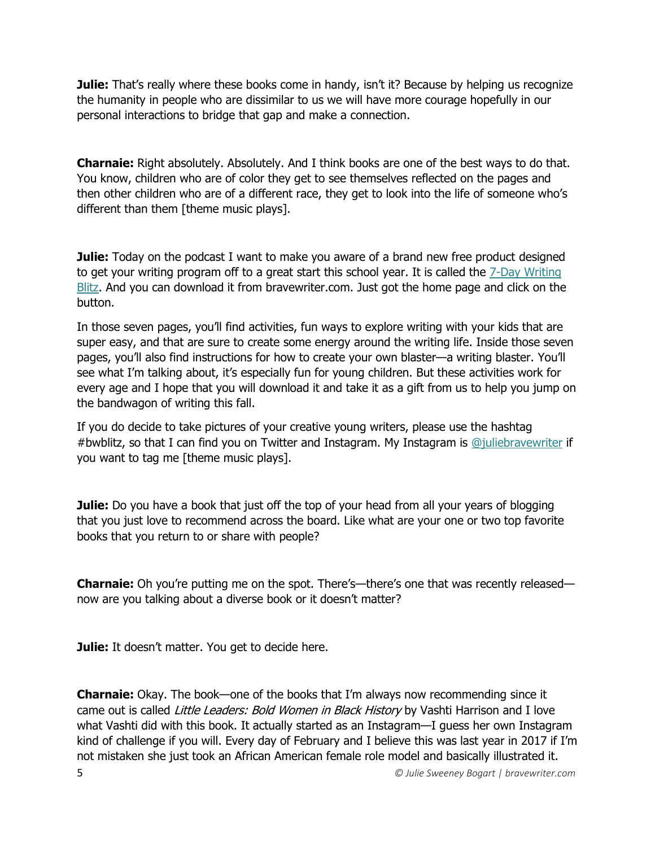**Julie:** That's really where these books come in handy, isn't it? Because by helping us recognize the humanity in people who are dissimilar to us we will have more courage hopefully in our personal interactions to bridge that gap and make a connection.

**Charnaie:** Right absolutely. Absolutely. And I think books are one of the best ways to do that. You know, children who are of color they get to see themselves reflected on the pages and then other children who are of a different race, they get to look into the life of someone who's different than them [theme music plays].

**Julie:** Today on the podcast I want to make you aware of a brand new free product designed to get your writing program off to a great start this school year. It is called the [7-Day Writing](http://go.bravewriter.com/writing-blitz)  [Blitz.](http://go.bravewriter.com/writing-blitz) And you can download it from bravewriter.com. Just got the home page and click on the button.

In those seven pages, you'll find activities, fun ways to explore writing with your kids that are super easy, and that are sure to create some energy around the writing life. Inside those seven pages, you'll also find instructions for how to create your own blaster—a writing blaster. You'll see what I'm talking about, it's especially fun for young children. But these activities work for every age and I hope that you will download it and take it as a gift from us to help you jump on the bandwagon of writing this fall.

If you do decide to take pictures of your creative young writers, please use the hashtag #bwblitz, so that I can find you on Twitter and Instagram. My Instagram is [@juliebravewriter](https://www.instagram.com/juliebravewriter/) if you want to tag me [theme music plays].

**Julie:** Do you have a book that just off the top of your head from all your years of blogging that you just love to recommend across the board. Like what are your one or two top favorite books that you return to or share with people?

**Charnaie:** Oh you're putting me on the spot. There's—there's one that was recently released now are you talking about a diverse book or it doesn't matter?

**Julie:** It doesn't matter. You get to decide here.

5 *© Julie Sweeney Bogart | bravewriter.com* **Charnaie:** Okay. The book—one of the books that I'm always now recommending since it came out is called *Little Leaders: Bold Women in Black History* by Vashti Harrison and I love what Vashti did with this book. It actually started as an Instagram—I guess her own Instagram kind of challenge if you will. Every day of February and I believe this was last year in 2017 if I'm not mistaken she just took an African American female role model and basically illustrated it.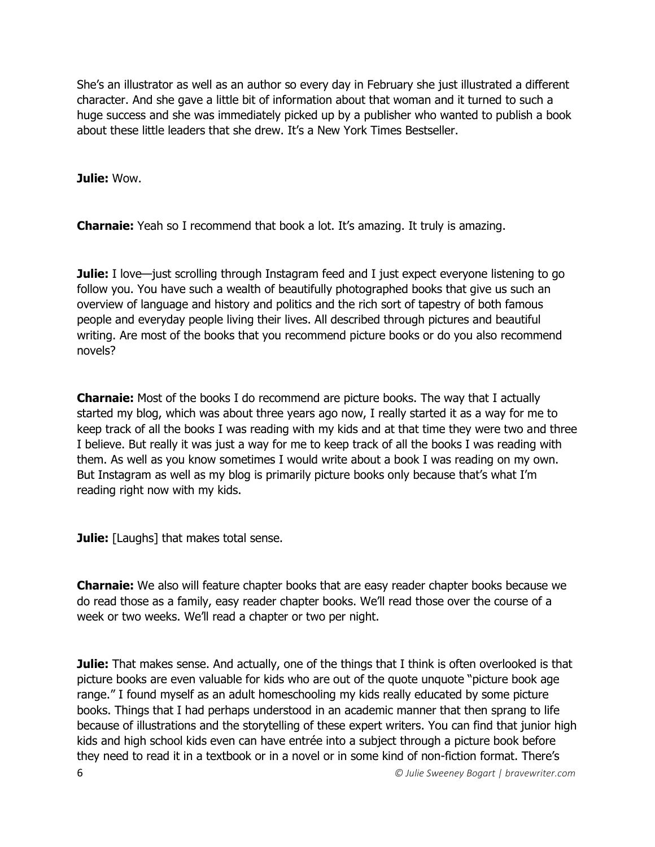She's an illustrator as well as an author so every day in February she just illustrated a different character. And she gave a little bit of information about that woman and it turned to such a huge success and she was immediately picked up by a publisher who wanted to publish a book about these little leaders that she drew. It's a New York Times Bestseller.

**Julie:** Wow.

**Charnaie:** Yeah so I recommend that book a lot. It's amazing. It truly is amazing.

**Julie:** I love—just scrolling through Instagram feed and I just expect everyone listening to go follow you. You have such a wealth of beautifully photographed books that give us such an overview of language and history and politics and the rich sort of tapestry of both famous people and everyday people living their lives. All described through pictures and beautiful writing. Are most of the books that you recommend picture books or do you also recommend novels?

**Charnaie:** Most of the books I do recommend are picture books. The way that I actually started my blog, which was about three years ago now, I really started it as a way for me to keep track of all the books I was reading with my kids and at that time they were two and three I believe. But really it was just a way for me to keep track of all the books I was reading with them. As well as you know sometimes I would write about a book I was reading on my own. But Instagram as well as my blog is primarily picture books only because that's what I'm reading right now with my kids.

**Julie:** [Laughs] that makes total sense.

**Charnaie:** We also will feature chapter books that are easy reader chapter books because we do read those as a family, easy reader chapter books. We'll read those over the course of a week or two weeks. We'll read a chapter or two per night.

6 *© Julie Sweeney Bogart | bravewriter.com* **Julie:** That makes sense. And actually, one of the things that I think is often overlooked is that picture books are even valuable for kids who are out of the quote unquote "picture book age range." I found myself as an adult homeschooling my kids really educated by some picture books. Things that I had perhaps understood in an academic manner that then sprang to life because of illustrations and the storytelling of these expert writers. You can find that junior high kids and high school kids even can have entrée into a subject through a picture book before they need to read it in a textbook or in a novel or in some kind of non-fiction format. There's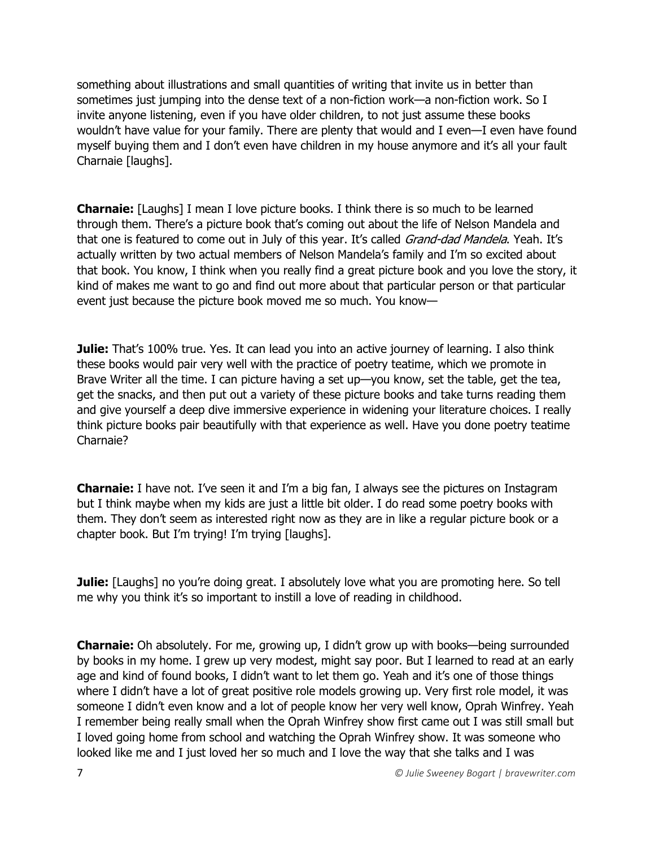something about illustrations and small quantities of writing that invite us in better than sometimes just jumping into the dense text of a non-fiction work—a non-fiction work. So I invite anyone listening, even if you have older children, to not just assume these books wouldn't have value for your family. There are plenty that would and I even—I even have found myself buying them and I don't even have children in my house anymore and it's all your fault Charnaie [laughs].

**Charnaie:** [Laughs] I mean I love picture books. I think there is so much to be learned through them. There's a picture book that's coming out about the life of Nelson Mandela and that one is featured to come out in July of this year. It's called Grand-dad Mandela. Yeah. It's actually written by two actual members of Nelson Mandela's family and I'm so excited about that book. You know, I think when you really find a great picture book and you love the story, it kind of makes me want to go and find out more about that particular person or that particular event just because the picture book moved me so much. You know—

**Julie:** That's 100% true. Yes. It can lead you into an active journey of learning. I also think these books would pair very well with the practice of poetry teatime, which we promote in Brave Writer all the time. I can picture having a set up—you know, set the table, get the tea, get the snacks, and then put out a variety of these picture books and take turns reading them and give yourself a deep dive immersive experience in widening your literature choices. I really think picture books pair beautifully with that experience as well. Have you done poetry teatime Charnaie?

**Charnaie:** I have not. I've seen it and I'm a big fan, I always see the pictures on Instagram but I think maybe when my kids are just a little bit older. I do read some poetry books with them. They don't seem as interested right now as they are in like a regular picture book or a chapter book. But I'm trying! I'm trying [laughs].

**Julie:** [Laughs] no you're doing great. I absolutely love what you are promoting here. So tell me why you think it's so important to instill a love of reading in childhood.

**Charnaie:** Oh absolutely. For me, growing up, I didn't grow up with books—being surrounded by books in my home. I grew up very modest, might say poor. But I learned to read at an early age and kind of found books, I didn't want to let them go. Yeah and it's one of those things where I didn't have a lot of great positive role models growing up. Very first role model, it was someone I didn't even know and a lot of people know her very well know, Oprah Winfrey. Yeah I remember being really small when the Oprah Winfrey show first came out I was still small but I loved going home from school and watching the Oprah Winfrey show. It was someone who looked like me and I just loved her so much and I love the way that she talks and I was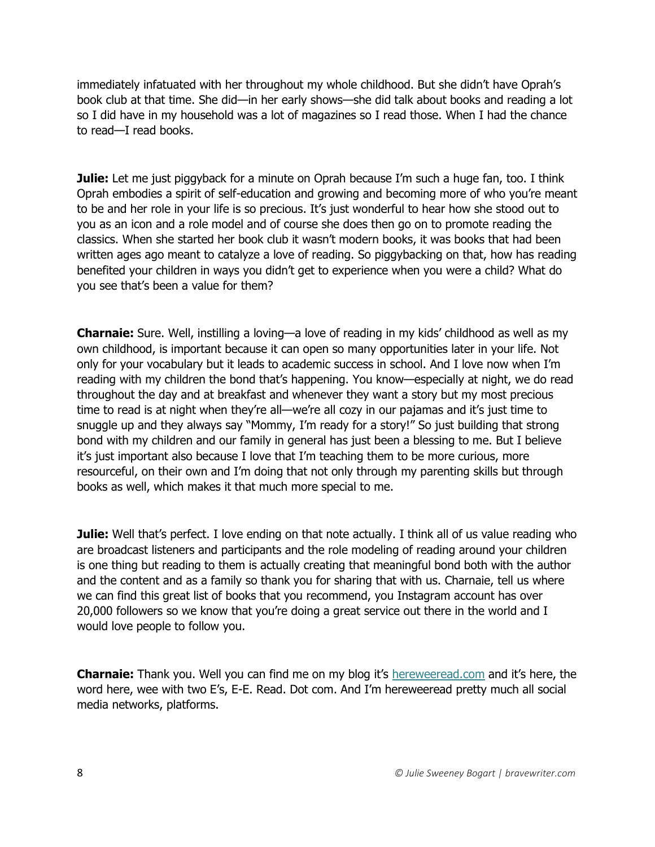immediately infatuated with her throughout my whole childhood. But she didn't have Oprah's book club at that time. She did—in her early shows—she did talk about books and reading a lot so I did have in my household was a lot of magazines so I read those. When I had the chance to read—I read books.

**Julie:** Let me just piggyback for a minute on Oprah because I'm such a huge fan, too. I think Oprah embodies a spirit of self-education and growing and becoming more of who you're meant to be and her role in your life is so precious. It's just wonderful to hear how she stood out to you as an icon and a role model and of course she does then go on to promote reading the classics. When she started her book club it wasn't modern books, it was books that had been written ages ago meant to catalyze a love of reading. So piggybacking on that, how has reading benefited your children in ways you didn't get to experience when you were a child? What do you see that's been a value for them?

**Charnaie:** Sure. Well, instilling a loving—a love of reading in my kids' childhood as well as my own childhood, is important because it can open so many opportunities later in your life. Not only for your vocabulary but it leads to academic success in school. And I love now when I'm reading with my children the bond that's happening. You know—especially at night, we do read throughout the day and at breakfast and whenever they want a story but my most precious time to read is at night when they're all—we're all cozy in our pajamas and it's just time to snuggle up and they always say "Mommy, I'm ready for a story!" So just building that strong bond with my children and our family in general has just been a blessing to me. But I believe it's just important also because I love that I'm teaching them to be more curious, more resourceful, on their own and I'm doing that not only through my parenting skills but through books as well, which makes it that much more special to me.

**Julie:** Well that's perfect. I love ending on that note actually. I think all of us value reading who are broadcast listeners and participants and the role modeling of reading around your children is one thing but reading to them is actually creating that meaningful bond both with the author and the content and as a family so thank you for sharing that with us. Charnaie, tell us where we can find this great list of books that you recommend, you Instagram account has over 20,000 followers so we know that you're doing a great service out there in the world and I would love people to follow you.

**Charnaie:** Thank you. Well you can find me on my blog it's [hereweeread.com](http://hereweeread.com/) and it's here, the word here, wee with two E's, E-E. Read. Dot com. And I'm hereweeread pretty much all social media networks, platforms.